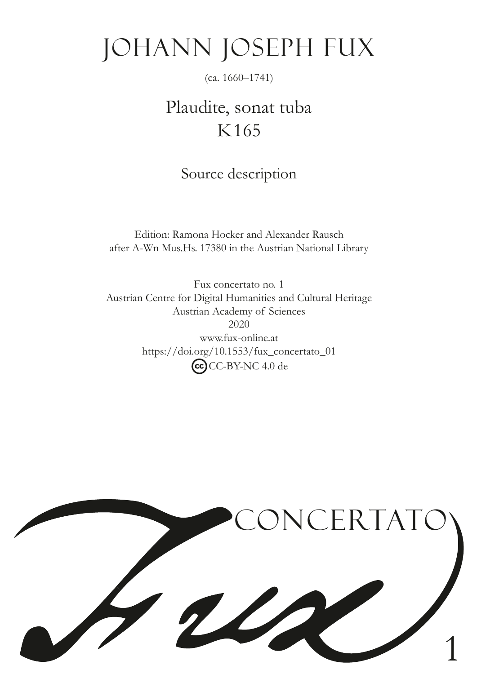# Johann Joseph Fux

(ca. 1660–1741)

# Plaudite, sonat tuba K165

Source description

Edition: Ramona Hocker and Alexander Rausch after A-Wn Mus.Hs. 17380 in the Austrian National Library

Fux concertato no. 1 Austrian Centre for Digital Humanities and Cultural Heritage Austrian Academy of Sciences 2020 www.fux-online.at https://doi.org/10.1553/fux\_concertato\_01 CC-BY-NC 4.0 de

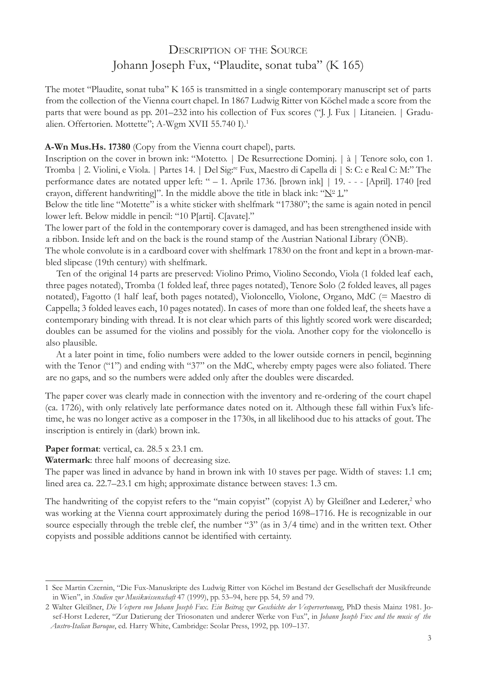## Description of the Source Johann Joseph Fux, "Plaudite, sonat tuba" (K 165)

The motet "Plaudite, sonat tuba" K 165 is transmitted in a single contemporary manuscript set of parts from the collection of the Vienna court chapel. In 1867 Ludwig Ritter von Köchel made a score from the parts that were bound as pp. 201–232 into his collection of Fux scores ("J. J. Fux | Litaneien. | Gradualien. Offertorien. Mottette"; A-Wgm XVII 55.740 I).<sup>1</sup>

#### **A-Wn Mus.Hs. 17380** (Copy from the Vienna court chapel), parts.

Inscription on the cover in brown ink: "Motetto. | De Resurrectione Dominj. | à | Tenore solo, con 1. Tromba | 2. Violini, e Viola. | Partes 14. | Del Sig:re Fux, Maestro di Capella di | S: C: e Real C: M:" The performance dates are notated upper left: " – 1. Aprile 1736. [brown ink] | 19. - - - [April]. 1740 [red crayon, different handwriting]". In the middle above the title in black ink: " $N^{\circ}$  1."

Below the title line "Motette" is a white sticker with shelfmark "17380"; the same is again noted in pencil lower left. Below middle in pencil: "10 P[arti]. C[avate]."

The lower part of the fold in the contemporary cover is damaged, and has been strengthened inside with a ribbon. Inside left and on the back is the round stamp of the Austrian National Library (ÖNB).

The whole convolute is in a cardboard cover with shelfmark 17830 on the front and kept in a brown-marbled slipcase (19th century) with shelfmark.

Ten of the original 14 parts are preserved: Violino Primo, Violino Secondo, Viola (1 folded leaf each, three pages notated), Tromba (1 folded leaf, three pages notated), Tenore Solo (2 folded leaves, all pages notated), Fagotto (1 half leaf, both pages notated), Violoncello, Violone, Organo, MdC (= Maestro di Cappella; 3 folded leaves each, 10 pages notated). In cases of more than one folded leaf, the sheets have a contemporary binding with thread. It is not clear which parts of this lightly scored work were discarded; doubles can be assumed for the violins and possibly for the viola. Another copy for the violoncello is also plausible.

At a later point in time, folio numbers were added to the lower outside corners in pencil, beginning with the Tenor ("1") and ending with "37" on the MdC, whereby empty pages were also foliated. There are no gaps, and so the numbers were added only after the doubles were discarded.

The paper cover was clearly made in connection with the inventory and re-ordering of the court chapel (ca. 1726), with only relatively late performance dates noted on it. Although these fall within Fux's lifetime, he was no longer active as a composer in the 1730s, in all likelihood due to his attacks of gout. The inscription is entirely in (dark) brown ink.

### **Paper format**: vertical, ca. 28.5 x 23.1 cm.

**Watermark**: three half moons of decreasing size.

The paper was lined in advance by hand in brown ink with 10 staves per page. Width of staves: 1.1 cm; lined area ca. 22.7–23.1 cm high; approximate distance between staves: 1.3 cm.

The handwriting of the copyist refers to the "main copyist" (copyist A) by Gleißner and Lederer,<sup>2</sup> who was working at the Vienna court approximately during the period 1698–1716. He is recognizable in our source especially through the treble clef, the number "3" (as in  $3/4$  time) and in the written text. Other copyists and possible additions cannot be identifed with certainty.

<sup>1</sup> See Martin Czernin, "Die Fux-Manuskripte des Ludwig Ritter von Köchel im Bestand der Gesellschaft der Musikfreunde in Wien", in *Studien zur Musikwissenschaft* 47 (1999), pp. 53–94, here pp. 54, 59 and 79.

<sup>2</sup> Walter Gleißner, *Die Vespern von Johann Joseph Fux. Ein Beitrag zur Geschichte der Vespervertonung*, PhD thesis Mainz 1981. Josef-Horst Lederer, "Zur Datierung der Triosonaten und anderer Werke von Fux", in *Johann Joseph Fux and the music of the Austro-Italian Baroque*, ed. Harry White, Cambridge: Scolar Press, 1992, pp. 109–137.